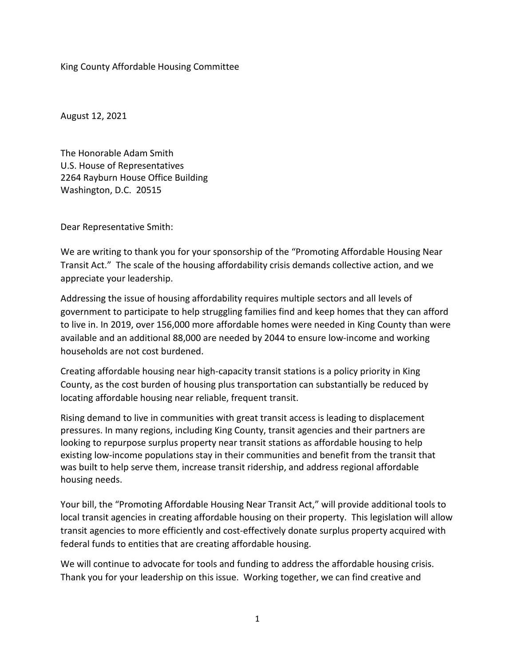King County Affordable Housing Committee

August 12, 2021

The Honorable Adam Smith U.S. House of Representatives 2264 Rayburn House Office Building Washington, D.C. 20515

Dear Representative Smith:

We are writing to thank you for your sponsorship of the "Promoting Affordable Housing Near Transit Act." The scale of the housing affordability crisis demands collective action, and we appreciate your leadership.

Addressing the issue of housing affordability requires multiple sectors and all levels of government to participate to help struggling families find and keep homes that they can afford to live in. In 2019, over 156,000 more affordable homes were needed in King County than were available and an additional 88,000 are needed by 2044 to ensure low-income and working households are not cost burdened.

Creating affordable housing near high-capacity transit stations is a policy priority in King County, as the cost burden of housing plus transportation can substantially be reduced by locating affordable housing near reliable, frequent transit.

Rising demand to live in communities with great transit access is leading to displacement pressures. In many regions, including King County, transit agencies and their partners are looking to repurpose surplus property near transit stations as affordable housing to help existing low-income populations stay in their communities and benefit from the transit that was built to help serve them, increase transit ridership, and address regional affordable housing needs.

Your bill, the "Promoting Affordable Housing Near Transit Act," will provide additional tools to local transit agencies in creating affordable housing on their property. This legislation will allow transit agencies to more efficiently and cost-effectively donate surplus property acquired with federal funds to entities that are creating affordable housing.

We will continue to advocate for tools and funding to address the affordable housing crisis. Thank you for your leadership on this issue. Working together, we can find creative and